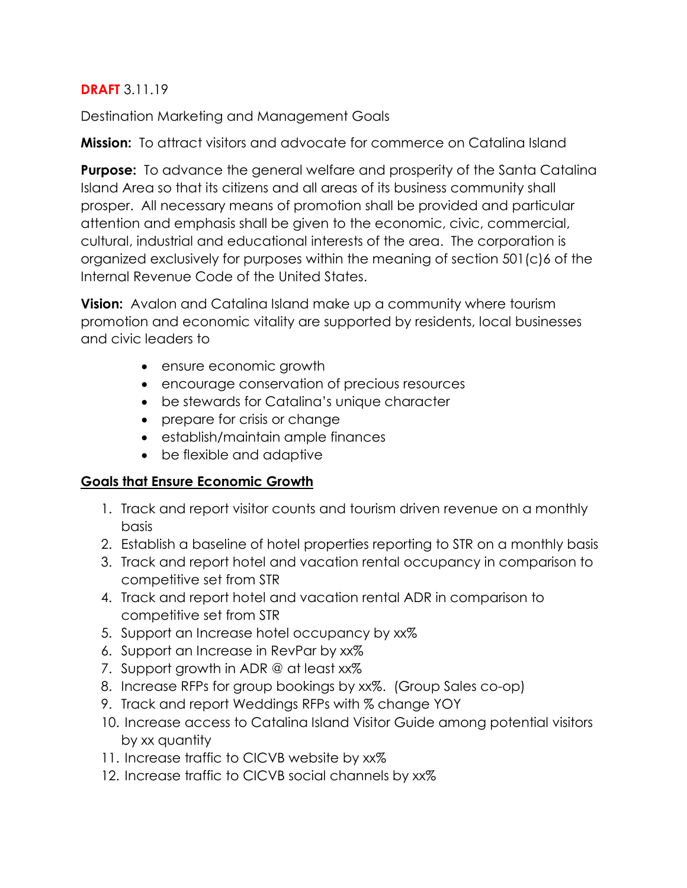#### **DRAFT** 3.11.19

Destination Marketing and Management Goals

**Mission:** To attract visitors and advocate for commerce on Catalina Island

**Purpose:** To advance the general welfare and prosperity of the Santa Catalina Island Area so that its citizens and all areas of its business community shall prosper. All necessary means of promotion shall be provided and particular attention and emphasis shall be given to the economic, civic, commercial, cultural, industrial and educational interests of the area. The corporation is organized exclusively for purposes within the meaning of section 501(c)6 of the Internal Revenue Code of the United States.

**Vision:** Avalon and Catalina Island make up a community where tourism promotion and economic vitality are supported by residents, local businesses and civic leaders to

- ensure economic growth
- encourage conservation of precious resources
- be stewards for Catalina's unique character
- prepare for crisis or change
- establish/maintain ample finances
- be flexible and adaptive

#### **Goals that Ensure Economic Growth**

- 1. Track and report visitor counts and tourism driven revenue on a monthly basis
- 2. Establish a baseline of hotel properties reporting to STR on a monthly basis
- 3. Track and report hotel and vacation rental occupancy in comparison to competitive set from STR
- 4. Track and report hotel and vacation rental ADR in comparison to competitive set from STR
- 5. Support an Increase hotel occupancy by xx%
- 6. Support an Increase in RevPar by xx%
- 7. Support growth in ADR @ at least xx%
- 8. Increase RFPs for group bookings by xx%. (Group Sales co-op)
- 9. Track and report Weddings RFPs with % change YOY
- 10. Increase access to Catalina Island Visitor Guide among potential visitors by xx quantity
- 11. Increase traffic to CICVB website by xx%
- 12. Increase traffic to CICVB social channels by xx%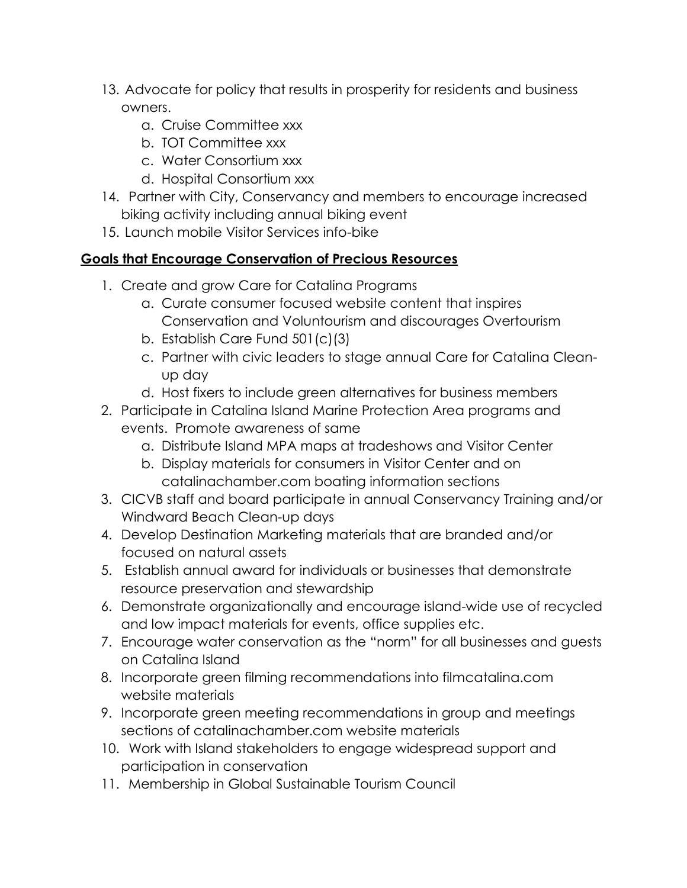- 13. Advocate for policy that results in prosperity for residents and business owners.
	- a. Cruise Committee xxx
	- b. TOT Committee xxx
	- c. Water Consortium xxx
	- d. Hospital Consortium xxx
- 14. Partner with City, Conservancy and members to encourage increased biking activity including annual biking event
- 15. Launch mobile Visitor Services info-bike

# **Goals that Encourage Conservation of Precious Resources**

- 1. Create and grow Care for Catalina Programs
	- a. Curate consumer focused website content that inspires Conservation and Voluntourism and discourages Overtourism
	- b. Establish Care Fund 501(c)(3)
	- c. Partner with civic leaders to stage annual Care for Catalina Cleanup day
	- d. Host fixers to include green alternatives for business members
- 2. Participate in Catalina Island Marine Protection Area programs and events. Promote awareness of same
	- a. Distribute Island MPA maps at tradeshows and Visitor Center
	- b. Display materials for consumers in Visitor Center and on catalinachamber.com boating information sections
- 3. CICVB staff and board participate in annual Conservancy Training and/or Windward Beach Clean-up days
- 4. Develop Destination Marketing materials that are branded and/or focused on natural assets
- 5. Establish annual award for individuals or businesses that demonstrate resource preservation and stewardship
- 6. Demonstrate organizationally and encourage island-wide use of recycled and low impact materials for events, office supplies etc.
- 7. Encourage water conservation as the "norm" for all businesses and guests on Catalina Island
- 8. Incorporate green filming recommendations into filmcatalina.com website materials
- 9. Incorporate green meeting recommendations in group and meetings sections of catalinachamber.com website materials
- 10. Work with Island stakeholders to engage widespread support and participation in conservation
- 11. Membership in Global Sustainable Tourism Council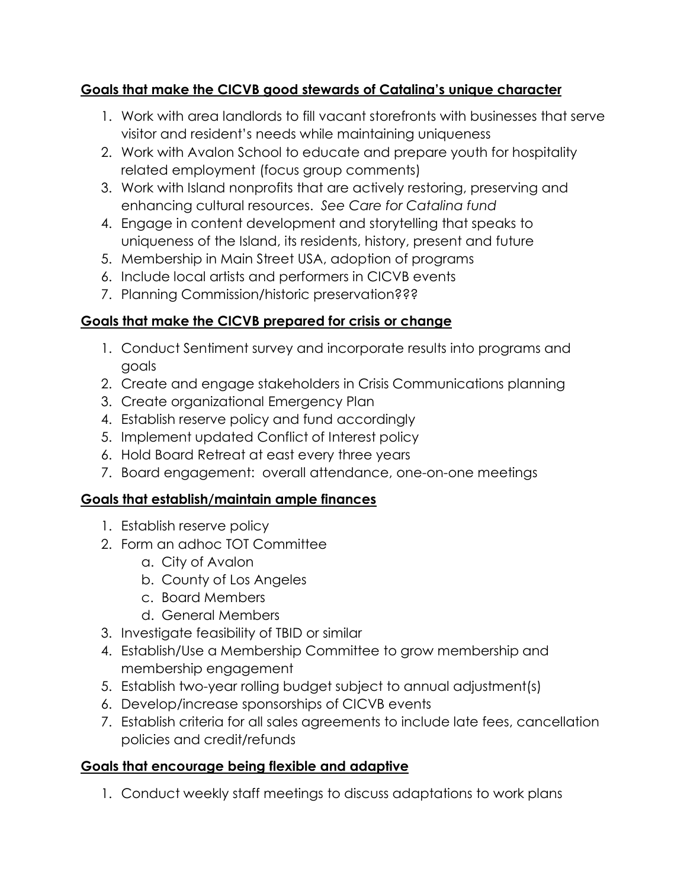#### **Goals that make the CICVB good stewards of Catalina's unique character**

- 1. Work with area landlords to fill vacant storefronts with businesses that serve visitor and resident's needs while maintaining uniqueness
- 2. Work with Avalon School to educate and prepare youth for hospitality related employment (focus group comments)
- 3. Work with Island nonprofits that are actively restoring, preserving and enhancing cultural resources. *See Care for Catalina fund*
- 4. Engage in content development and storytelling that speaks to uniqueness of the Island, its residents, history, present and future
- 5. Membership in Main Street USA, adoption of programs
- 6. Include local artists and performers in CICVB events
- 7. Planning Commission/historic preservation???

## **Goals that make the CICVB prepared for crisis or change**

- 1. Conduct Sentiment survey and incorporate results into programs and goals
- 2. Create and engage stakeholders in Crisis Communications planning
- 3. Create organizational Emergency Plan
- 4. Establish reserve policy and fund accordingly
- 5. Implement updated Conflict of Interest policy
- 6. Hold Board Retreat at east every three years
- 7. Board engagement: overall attendance, one-on-one meetings

## **Goals that establish/maintain ample finances**

- 1. Establish reserve policy
- 2. Form an adhoc TOT Committee
	- a. City of Avalon
	- b. County of Los Angeles
	- c. Board Members
	- d. General Members
- 3. Investigate feasibility of TBID or similar
- 4. Establish/Use a Membership Committee to grow membership and membership engagement
- 5. Establish two-year rolling budget subject to annual adjustment(s)
- 6. Develop/increase sponsorships of CICVB events
- 7. Establish criteria for all sales agreements to include late fees, cancellation policies and credit/refunds

## **Goals that encourage being flexible and adaptive**

1. Conduct weekly staff meetings to discuss adaptations to work plans